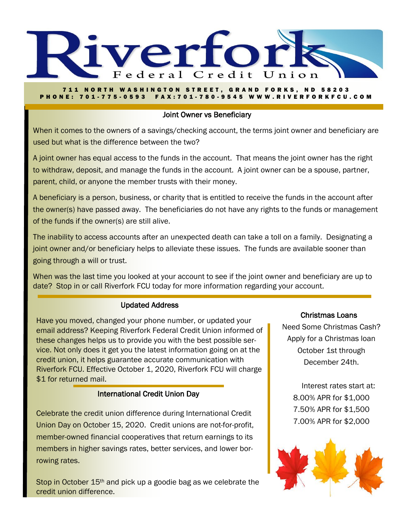

#### **711 NORTH WASHINGTON STREET, GRAND FORKS, ND 58203** P H O N E : 7 0 1 - 7 7 5 - 0 5 9 3 F A X : 7 0 1 - 780 - 9 5 4 5 W W W . R I V E R F O R K F C U . C O M

# Joint Owner vs Beneficiary

When it comes to the owners of a savings/checking account, the terms joint owner and beneficiary are used but what is the difference between the two?

A joint owner has equal access to the funds in the account. That means the joint owner has the right to withdraw, deposit, and manage the funds in the account. A joint owner can be a spouse, partner, parent, child, or anyone the member trusts with their money.

A beneficiary is a person, business, or charity that is entitled to receive the funds in the account after the owner(s) have passed away. The beneficiaries do not have any rights to the funds or management of the funds if the owner(s) are still alive.

The inability to access accounts after an unexpected death can take a toll on a family. Designating a joint owner and/or beneficiary helps to alleviate these issues. The funds are available sooner than going through a will or trust.

When was the last time you looked at your account to see if the joint owner and beneficiary are up to date? Stop in or call Riverfork FCU today for more information regarding your account.

# Updated Address

Have you moved, changed your phone number, or updated your email address? Keeping Riverfork Federal Credit Union informed of these changes helps us to provide you with the best possible service. Not only does it get you the latest information going on at the credit union, it helps guarantee accurate communication with Riverfork FCU. Effective October 1, 2020, Riverfork FCU will charge \$1 for returned mail.

# International Credit Union Day

Celebrate the credit union difference during International Credit Union Day on October 15, 2020. Credit unions are not-for-profit, member-owned financial cooperatives that return earnings to its members in higher savings rates, better services, and lower borrowing rates.

Stop in October 15<sup>th</sup> and pick up a goodie bag as we celebrate the credit union difference.

## Christmas Loans

Need Some Christmas Cash? Apply for a Christmas loan October 1st through December 24th.

> Interest rates start at: 8.00% APR for \$1,000 7.50% APR for \$1,500 7.00% APR for \$2,000